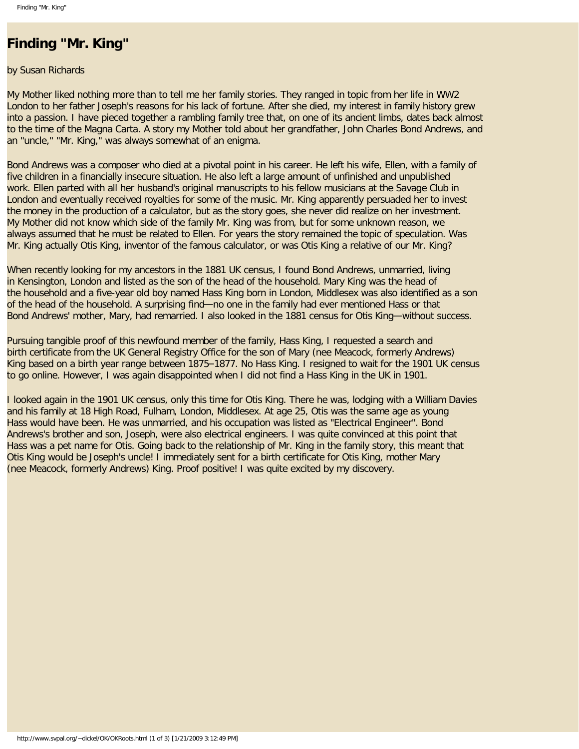## **Finding "Mr. King"**

## by Susan Richards

My Mother liked nothing more than to tell me her family stories. They ranged in topic from her life in WW2 London to her father Joseph's reasons for his lack of fortune. After she died, my interest in family history grew into a passion. I have pieced together a rambling family tree that, on one of its ancient limbs, dates back almost to the time of the Magna Carta. A story my Mother told about her grandfather, John Charles Bond Andrews, and an "uncle," "Mr. King," was always somewhat of an enigma.

Bond Andrews was a composer who died at a pivotal point in his career. He left his wife, Ellen, with a family of five children in a financially insecure situation. He also left a large amount of unfinished and unpublished work. Ellen parted with all her husband's original manuscripts to his fellow musicians at the Savage Club in London and eventually received royalties for some of the music. Mr. King apparently persuaded her to invest the money in the production of a calculator, but as the story goes, she never did realize on her investment. My Mother did not know which side of the family Mr. King was from, but for some unknown reason, we always assumed that he must be related to Ellen. For years the story remained the topic of speculation. Was Mr. King actually Otis King, inventor of the famous calculator, or was Otis King a relative of our Mr. King?

When recently looking for my ancestors in the 1881 UK census, I found Bond Andrews, unmarried, living in Kensington, London and listed as the son of the head of the household. Mary King was the head of the household and a five-year old boy named Hass King born in London, Middlesex was also identified as a son of the head of the household. A surprising find—no one in the family had ever mentioned Hass or that Bond Andrews' mother, Mary, had remarried. I also looked in the 1881 census for Otis King—without success.

Pursuing tangible proof of this newfound member of the family, Hass King, I requested a search and birth certificate from the UK General Registry Office for the son of Mary (nee Meacock, formerly Andrews) King based on a birth year range between 1875–1877. No Hass King. I resigned to wait for the 1901 UK census to go online. However, I was again disappointed when I did not find a Hass King in the UK in 1901.

I looked again in the 1901 UK census, only this time for Otis King. There he was, lodging with a William Davies and his family at 18 High Road, Fulham, London, Middlesex. At age 25, Otis was the same age as young Hass would have been. He was unmarried, and his occupation was listed as "Electrical Engineer". Bond Andrews's brother and son, Joseph, were also electrical engineers. I was quite convinced at this point that Hass was a pet name for Otis. Going back to the relationship of Mr. King in the family story, this meant that Otis King would be Joseph's uncle! I immediately sent for a birth certificate for Otis King, mother Mary (nee Meacock, formerly Andrews) King. Proof positive! I was quite excited by my discovery.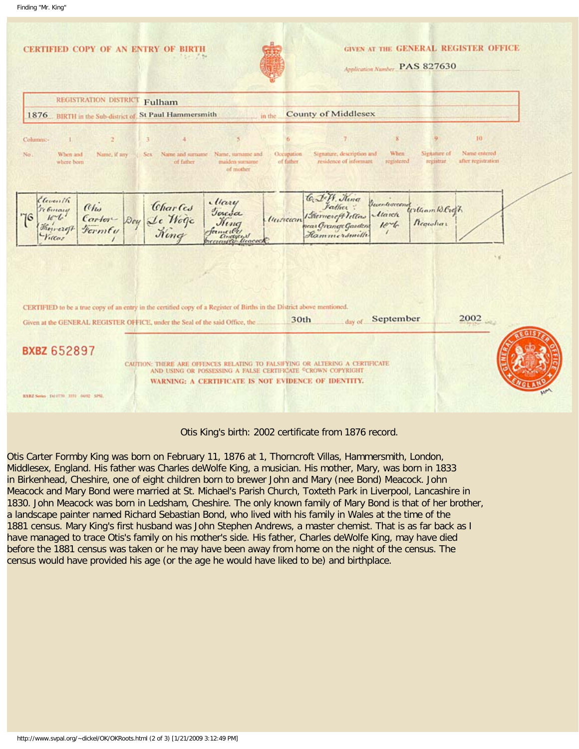

## Otis King's birth: 2002 certificate from 1876 record.

Otis Carter Formby King was born on February 11, 1876 at 1, Thorncroft Villas, Hammersmith, London, Middlesex, England. His father was Charles deWolfe King, a musician. His mother, Mary, was born in 1833 in Birkenhead, Cheshire, one of eight children born to brewer John and Mary (nee Bond) Meacock. John Meacock and Mary Bond were married at St. Michael's Parish Church, Toxteth Park in Liverpool, Lancashire in 1830. John Meacock was born in Ledsham, Cheshire. The only known family of Mary Bond is that of her brother, a landscape painter named Richard Sebastian Bond, who lived with his family in Wales at the time of the 1881 census. Mary King's first husband was John Stephen Andrews, a master chemist. That is as far back as I have managed to trace Otis's family on his mother's side. His father, Charles deWolfe King, may have died before the 1881 census was taken or he may have been away from home on the night of the census. The census would have provided his age (or the age he would have liked to be) and birthplace.